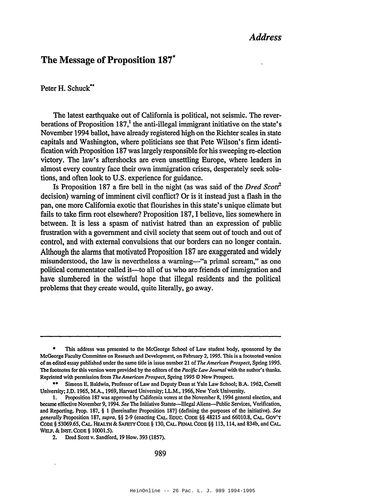## *Address*

# **The** Message **of Proposition 187\***

Peter H. Schuck\*\*

The latest earthquake out of California is political, not seismic. The reverberations of Proposition  $187<sup>1</sup>$ , the anti-illegal immigrant initiative on the state's November 1994 ballot, have already registered high on the Richter scales in state capitals and Washington, where politicians see that Pete Wilson's firm identification with Proposition 187 waslargely responsible for his sweeping re-election victory. The law's aftershocks are even unsettling Europe, where leaders in almost every country face their own immigration crises, desperately seek solutions, and often look to U.S. experience for guidance.

Is Proposition 187 a fire bell in the night (as was said of the *Dred Scotf* decision) warning of imminent civil conflict? Or is it instead just a flash in the pan, one more California exotic that flourishes in this state's unique climate but fails to take firm root elsewhere? Proposition 187, I believe, lies somewhere in between. It is less a spasm of nativist hatred than an expression of public frustration with a government and civil society that seem out of touch and out of control, and with external convulsions that our borders can no longer contain. Although the alarms that motivated Proposition 187 are exaggerated and widely misunderstood, the law is nevertheless a warning-"a primal scream," as one political commentator called it-to all of us who are friends of immigration and have slumbered in the wistful hope that illegal residents and the political problems that they create would, quite literally, go away.

<sup>•</sup> This address was presented to the McGeorge School of Law student body, sponsored by the McGeorge Faculty Committee on Research and Development, on February 2, 1995. This is a footnoted version of an edited essay published under the same title in issue number 21 of *The American Prospect,* Spring 1995. The footnotes for this version were provided by the editors of the *Pacific Law Journal* with the author's thanks. Reprinted with permission from *The American Prospect,* Spring 1995 © New Prospect.

Simeon E. Baldwin, Professor of Law and Deputy Dean at Yale Law School; B.A. 1962, Cornell University; J.D. 1965, M.A., 1969, Harvard University; LL.M., 1966, New York University.

<sup>1.</sup> Proposition 187 was approved by California voters at the November 8, 1994 general election, and became effective November 9, 1994. See The Initiative Statute---Illegal Aliens---Public Services, Verification, and Reporting, Prop. 187, § 1 [hereinafter Proposition 187] (defining the purposes of the initiative). See *generally* Proposition 187, *supra,* §§ 2-9 (enacting CAL. EDUC. CODE §§ 48215 and 66010.8, CAL. GOV'T CoDE § 53069.65, CAL. HEALTH & SAFETY CODE § 130, CAL. PENAL CoDE §§ 113, 114, and 834b, and CAL. WElF. & INST. CoDE § 10001.5).

<sup>2.</sup> Dred Scott v. Sandford, 19 How. 393 (1857).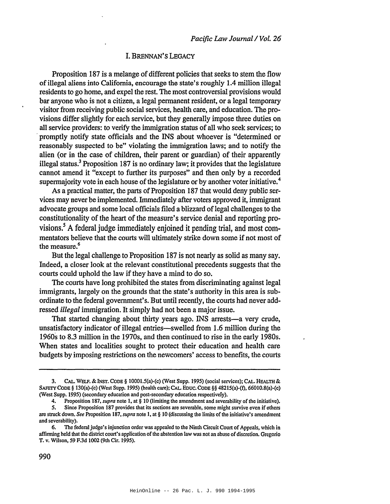### 1. BRENNAN'S LEGACY

Proposition 187 is a melange of different policies that seeks to stem the flow ofillegal aliens into California, encourage the state's roughly 1.4 million illegal residents to go home, and expel the rest. The most controversial provisions would bar anyone who is not a citizen, a legal permanent resident, or a legal temporary visitor from receiving public social services, health care, and education. The provisions differ slightly for each service, but they generally impose three duties on all service providers: to verify the immigration status of all who seek services; to promptly notify state officials and the INS about whoever is "determined or reasonably suspected to be" violating the immigration laws; and to notify the alien (or in the case of children, their parent or guardian) of their apparently illegal status.<sup>3</sup> Proposition 187 is no ordinary law; it provides that the legislature cannot amend it "except to further its purposes" and then only by a recorded supermajority vote in each house of the legislature or by another voter initiative.<sup>4</sup>

As a practical matter, the parts of Proposition 187 that would deny public services may never be implemented. Immediately after voters approved it, immigrant advocate groups and some local officials filed a blizzard of legal challenges to the constitutionality of the heart of the measure's service denial and reporting provisions.<sup>5</sup> A federal judge immediately enjoined it pending trial, and most commentators believe that the courts will ultimately strike down some if not most of the measure.<sup>6</sup>

But the legal challenge to Proposition 187 is not nearly as solid as many say. Indeed, a closer look at the relevant constitutional precedents suggests that the courts could uphold the law if they have a mind to do so.

The courts have long prohibited the states from discriminating against legal immigrants, largely on the grounds that the state's authority in this area is subordinate to the federal government's. But until recently, the courts had never addressed *illegal* immigration. It simply had not been a major issue.

That started changing about thirty years ago. INS arrests—a very crude, unsatisfactory indicator of illegal entries-swelled from 1.6 million during the 19608 to 8.3 million in the 1970s, and then continued to rise in the early 1980s. When states and localities sought to protect their education and health care budgets by imposing restrictions on the newcomers' access to benefits, the courts

<sup>3.</sup> CAL. WELF. & INST. CODE § 10001.5(a)-(c) (West Supp. 1995) (social services); CAL. HEALTII & SAfETYCoDE § 130(a)-(c) (West Supp. 1995) (health care); CAt. EDUC. CODE §§ 48215(a)-(t), 66010.8(a)-(c) (West Supp. 1995) (secondary education and post-secondary education respectively).

<sup>4.</sup> Proposition 187.*supra* note 1. at § 10 (limiting the amendment and severability of the initiative).

<sup>5.</sup> Since Proposition 187 provides that its sections are severable, some might survive evcn if othcrs are struck down. *See* Proposition 187, *supra* note I, at § 10 (discussing the limits ofthe initiative'S amendment and severability).

<sup>6.</sup> The federal judge's injunction order was appealed to the Ninth Circuit Court of Appeals, which in affirming held that the district court's application of the abstention law was not an abuse of discretion. Gregorio T. v. Wilson, 59 F.3d 1002 (9th Cir. 1995).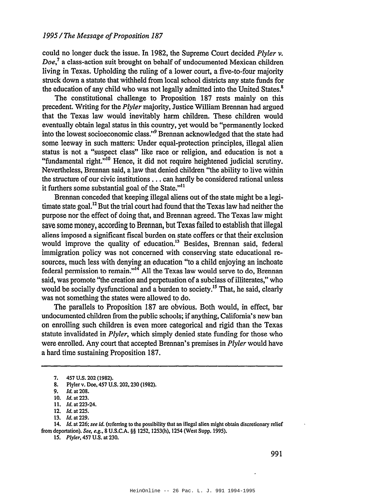could no longer duck the issue. In 1982, the Supreme Court decided *Plyler* v. *Doe,7* a class-action suit brought on behalf of undocumented Mexican children living in Texas. Upholding the ruling of a lower court, a five-to-four majority struck down a statute that withheld from local school districts any state funds for the education of any child who was not legally admitted into the United States.<sup>8</sup>

The constitutional challenge to Proposition 187 rests mainly on this precedent. Writing for the *Plyler* majority, Justice William Brennan had argued that the Texas law would inevitably harm children. These children would eventually obtain legal status in this country, yet would be "permanently locked into the lowest socioeconomic class."<sup>9</sup> Brennan acknowledged that the state had some leeway in such matters: Under equal-protection principles, illegal alien status is not a "suspect class" like race or religion, and education is not a "fundamental right."<sup>10</sup> Hence, it did not require heightened judicial scrutiny. Nevertheless, Brennan said, a law that denied children "the ability to live within the structure of our civic institutions ... can hardly be considered rational unless it furthers some substantial goal of the State."<sup>11</sup>

Brennan conceded that keeping illegal aliens out of the state might be a legitimate state goal.<sup>12</sup> But the trial court had found that the Texas law had neither the purpose nor the effect of doing that, and Brennan agreed. The Texas law might save some money, according to Brennan, butTexas failed to establish that illegal aliens imposed a significant fiscal burden on state coffers or that their exclusion would improve the quality of education.<sup>13</sup> Besides, Brennan said, federal immigration policy was not concerned with conserving state educational resources, much less with denying an education "to a child enjoying an inchoate federal permission to remain."14 All the Texas law would serve to do, Brennan said, was promote "the creation and perpetuation of a subclass of illiterates," who would be socially dysfunctional and a burden to society.<sup>15</sup> That, he said, clearly was not something the states were allowed to do.

The parallels to Proposition 187 are obvious. Both would, in effect, bar undocumented children from the public schools; if anything, California's new ban on enrolling such children is even more categorical and rigid than the Texas statute invalidated in *Plyler,* which simply denied state funding for those who were enrolled. Any court that accepted Brennan's premises in *Plyler* would have a hard time sustaining Proposition 187.

*14. [d.* at 226; *see id.* (referring to the possibility that an illegal alien might obtain discretionary relief from deportation). *See, e.g.,* 8 U.S.C.A. §§ 1252, 1253(h), 1254 (West Supp. 1995).

*15. Plyler,* 457 U.S. at 230.

<sup>7.</sup> 457 U.s. 202 (1982).

<sup>8.</sup> Plyler v. Doe, 457 U.S. 202, 230 (1982).

<sup>9.</sup> *Id.* at 208.

<sup>10.</sup> *Id.* at 223.

<sup>11.</sup> *Id.* at 223-24.

<sup>12.</sup> *Id.* at 225.

<sup>13.</sup> *Id.* at 229.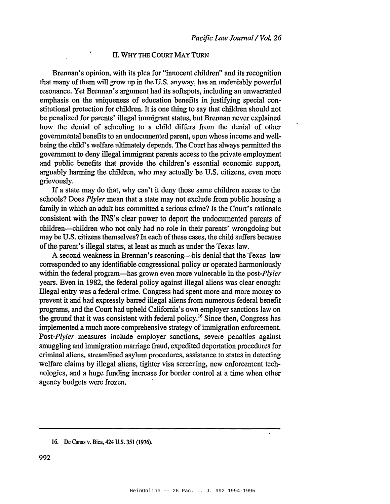#### II. WHY THE COURT MAY TuRN

Brennan's opinion, with its plea for "innocent children" and its recognition that many of them will grow up in the U.S. anyway, has an undeniably powerful resonance. Yet Brennan's argument had its softspots, including an unwarranted emphasis on the uniqueness of education benefits in justifying special constitutional protection for children. It is one thing to say that children should not be penalized for parents' illegal immigrant status, but Brennan never explained how the denial of schooling to a child differs from the denial of other governmental benefits to an undocumented parent, upon whose income and wellbeing the child's welfare ultimately depends. The Court has always permitted the government to deny illegal immigrant parents access to the private employment and public benefits that provide the children's essential economic support, arguably harming the children, who may actually be U.S. citizens, even more grievously.

If a state may do that, why can't it deny those same children access to the schools? Does *Plyler* mean that a state may not exclude from public housing a family in which an adult has committed a serious crime? Is the Court's rationale consistent with the INS's clear power to deport the undocumented parents of children-children who not only had no role in their parents' wrongdoing but may be U.S. citizens themselves? In each of these cases, the child suffers because of the parent's illegal status, at least as much as under the Texas law.

A second weakness in Brennan's reasoning—his denial that the Texas law corresponded to any identifiable congressional policy or operated harmoniously within the federal program-has grown even more vulnerable in the *post-Plyler* years. Even in 1982, the federal policy against illegal aliens was clear enough: Illegal entry was a federal crime. Congress had spent more and more money to prevent it and had expressly barred illegal aliens from numerous federal benefit programs, and the Court had upheld California's own employer sanctions law on the ground that it was consistent with federal policy.<sup>16</sup> Since then, Congress has implemented a much more comprehensive strategy of immigration enforcement. *Post-Plyler* measures include employer sanctions, severe penalties against smuggling and immigration marriage fraud, expedited deportation procedures for criminal aliens, streamlined asylum procedures, assistance to states in detecting welfare claims by illegal aliens, tighter visa screening, new enforcement technologies, and a huge funding increase for border control at a time when other agency budgets were frozen.

<sup>16.</sup> De Canas v. Bica, 424 U.S. 351 (1976).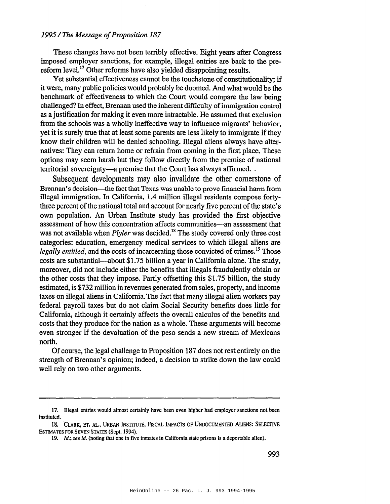#### *1995/The Message ofProposition 187*

These changes have not been terribly effective. Eight years after Congress imposed employer sanctions, for example, illegal entries are back to the prereform level.<sup>17</sup> Other reforms have also yielded disappointing results.

Yet substantial effectiveness cannot be the touchstone of constitutionality; if it were, many public policies would probably be doomed. And what would be the benchmark of effectiveness to which the Court would compare the law being challenged? In effect, Brennan used the inherent difficulty ofimmigration control as a justification for making it even more intractable. He assumed that exclusion from the schools was a wholly ineffective way to influence migrants' behavior, yet it is surely true that at least some parents are less likely to immigrate if they know their children will be denied schooling. Illegal aliens always have alternatives: They can return home or refrain from coming in the first place. These options may seem harsh but they follow directly from the premise of national territorial sovereignty—a premise that the Court has always affirmed...

Subsequent developments may also invalidate the other cornerstone of Brennan's decision-the fact that Texas was unable to prove financial harm from illegal immigration. In California, 1.4 million illegal residents compose fortythree percent of the national total and account for nearly five percent of the state's own population. An Urban Institute study has provided the first objective assessment of how this concentration affects communities-an assessment that was not available when *Plyler* was decided.<sup>18</sup> The study covered only three cost categories: education, emergency medical services to which illegal aliens are *legally entitled*, and the costs of incarcerating those convicted of crimes.<sup>19</sup> Those costs are substantial-about \$1.75 billion a year in California alone. The study, moreover, did not include either the benefits that illegals fraudulently obtain or the other costs that they impose. Partly offsetting this \$1.75 billion, the study estimated, is \$732 million in revenues generated from sales, property, and income taxes on illegal aliens in California.The fact that many illegal alien workers pay federal payroll taxes but do not claim Social Security benefits does little for California, although it certainly affects the overall calculus of the benefits and costs that they produce for the nation as a whole. These arguments will become even stronger if the devaluation of the peso sends a new stream of Mexicans north.

Of course, the legal challenge to Proposition 187 does not rest entirely on the strength of Brennan's opinion; indeed, a decision to strike down the law could well rely on two other arguments.

<sup>17.</sup> Illegal entries would almost certainly have been even higher had employer sanctions not been instituted.

<sup>18.</sup> CLARK, ET. AL., URBAN INSTITUTE, FISCAL IMPAcrs OF UNDOCUMENTED ALIENS: SELECfIVE EsTIMATES FOR SEVEN STATES (Sept. 1994).

<sup>19.</sup> [d.; *see* id. (noting that one in five inmates in California state prisons is a deportable alien).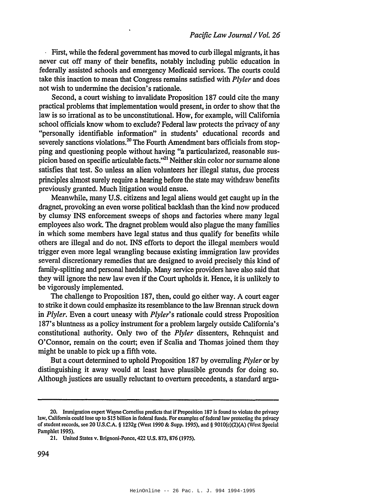First, while the federal government has moved to curb illegal migrants, it has never cut off many of their benefits, notably including public education in federally'assisted schools and emergency Medicaid services. The courts could take this inaction to mean that Congress remains satisfied with *Plyler* and does not wish to undermine the decision's rationale.

Second, a court wishing to invalidate Proposition 187 could cite the many practical problems that implementation would present, in order to show that the law is so irrational as to be unconstitutional. How, for example, will California school officials know whom to exclude? Federal law protects the privacy of any "personally identifiable information" in students' educational records and severely sanctions violations.<sup>20</sup> The Fourth Amendment bars officials from stopping and questioning people without having "a particularized, reasonable suspicion based on specific articulable facts."<sup>21</sup> Neither skin color nor surname alone satisfies that test. So unless an alien volunteers her illegal status, due process principles almost surely require a hearing before the state may withdraw benefits previously granted. Much litigation would ensue.

Meanwhile, many U.S. citizens and legal aliens would get caught up in the dragnet, provoking an even worse political backlash than the kind now produced by clumsy INS enforcement sweeps of shops and factories where many legal employees also work. The dragnet problem would also plague the many families in which some members have legal status and thus qualify for benefits while others are illegal and do not. INS efforts to deport the illegal members would trigger even more legal wrangling because existing immigration law provides several discretionary remedies that are designed to avoid precisely this kind of family-splitting and personal hardship. Many service providers have also said that they will ignore the new law even if the Court upholds it. Hence, it is unlikely to be vigorously implemented.

The challenge to Proposition 187, then, could go either way. A court eager to strike it down could emphasize its resemblance to the law Brennan struck down in *Plyler.* Even a court uneasy with *Plyler's* rationale could stress Proposition 187's bluntness as a policy instrument for a problem largely outside California's constitutional authority. Only two of the *Plyler* dissenters, Rehnquist and O'Connor, remain on the court; even if Scalia and Thomas joined them they might be unable to pick up a fifth vote.

But a court determined to uphold Proposition 187 by overruling *Plyler* or by distinguishing it away would at least have plausible grounds for doing so. Although justices are usually reluctant to overturn precedents, a standard argu-

<sup>20.</sup> Immigration expert Wayne Cornelius predicts that if Proposition 187 is found to violate the privacy law. California could lose up to \$15 billion in federal funds. For examples of federal law protecting the privacy of student records, see 20 U.S.C.A. § 1232g (West 1990 & Supp. 1995), and § 9010(c)(2)(A) (West Special Pamphlet 1995).

<sup>21.</sup> United States v. Brignoni-Ponce, 422 U.S. 873, 876 (1975).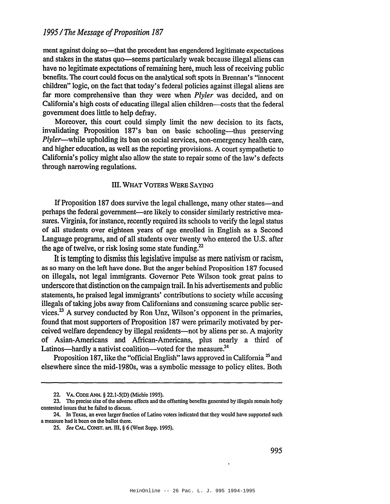ment against doing so—that the precedent has engendered legitimate expectations and stakes in the status quo—seems particularly weak because illegal aliens can have no legitimate expectations of remaining here, much less of receiving public benefits. The court could focus on the analytical soft spots in Brennan's "innocent children" logic, on the fact that today's federal policies against illegal aliens are far more comprehensive than they were when *Plyler* was decided, and on California's high costs of educating illegal alien children—costs that the federal government does little to help defray.

Moreover, this court could simply limit the new decision to its facts, invalidating Proposition 187's ban on basic schooling—thus preserving *Plyler-while* upholding its ban on social services, non-emergency health care, and higher education, as well as the reporting provisions. A court sympathetic to California's policy might also allow the state to repair some of the law's defects through narrowing regulations.

#### III. WHAT VOTERS WERE SAYING

If Proposition 187 does survive the legal challenge, many other states—and perhaps the federal government-are likely to consider similarly restrictive measures. Virginia, for instance, recently required its schools to verify the legal status of all students over eighteen years of age enrolled in English as a Second Language programs, and of all students over twenty who entered the U.S. after the age of twelve, or risk losing some state funding.<sup>22</sup>

It is tempting to dismiss this legislative impulse as mere nativism or racism, as so many on the left have done. But the anger behind Proposition 187 focused on illegals, not legal immigrants. Governor Pete Wilson took great pains to underscore that distinction on the campaign trail. In his advertisements and public statements, he praised legal immigrants' contributions to society while accusing illegals of taking jobs away from Californians and consuming scarce public services.<sup>23</sup> A survey conducted by Ron Unz, Wilson's opponent in the primaries, found that most supporters of Proposition 187 were primarily motivated by perceived welfare dependency by illegal residents--not by aliens per se. A majority of Asian-Americans and African-Americans, plus nearly a third of Latinos—hardly a nativist coalition—voted for the measure. $^{24}$ 

Proposition 187, like the "official English" laws approved in California  $^{25}$  and elsewhere since the mid-1980s, was a symbolic message to policy elites. Both

<sup>22.</sup> VA. CODE ANN. § 22.1-5(D) (Michie 1995).

<sup>23.</sup> The precise size of the adverse effects and the offsetting benefits generated by illegals remain hotly contested issues that he failed to discuss.

<sup>24.</sup> In Texas, an even larger fraction of Latino voters indicated that they would have supported such a measure had it been on the ballot there.

*<sup>25.</sup> See* CAL. CONST. art. III. § 6 (West Supp. 1995).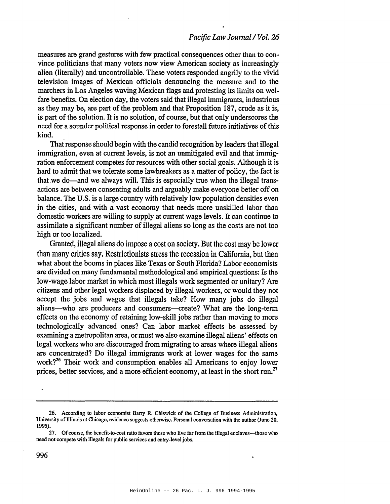measures are grand gestures with few practical consequences other than to convince politicians that many voters now view American society as increasingly alien (literally) and uncontrollable. These voters responded angrily to the vivid television images of Mexican officials denouncing the measure and to the marchers in Los Angeles waving Mexican flags and protesting its limits on welfare benefits. On election day, the voters said that illegal immigrants, industrious as they may be, are part of the problem and that Proposition 187, crude as it is, is part of the solution. It is no solution, of course, but that only underscores the need for a sounder political response in order to forestall future initiatives of this kind.

That response should begin with the candid recognition by leaders that illegal immigration, even at current levels, is not an unmitigated evil and that immigration enforcement competes for resources with other social goals. Although it is hard to admit that we tolerate some lawbreakers as a matter of policy, the fact is that we do—and we always will. This is especially true when the illegal transactions are between consenting adults and arguably make everyone better off on balance. The U.S. is a large country with relatively low population densities even in the cities, and with a vast economy that needs more unskilled labor than domestic workers are willing to supply at current wage levels. It can continue to assimilate a significant number of illegal aliens so long as the costs are not too high or too localized.

Granted, illegal aliens do impose a cost on society. But the cost may be lower than many critics say. Restrictionists stress the recession in California, but then what about the booms in places like Texas or South Florida? Labor economists are divided on many fundamental methodological and empirical questions: Is the low-wage labor market in which most illegals work segmented or unitary? Are citizens and other legal workers displaced by illegal workers, or would they not accept the jobs and wages that illegals take? How many jobs do illegal aliens-who are producers and consumers-create? What are the long-term effects on the economy of retaining low-skill jobs rather than moving to more technologically advanced ones? Can labor market effects be assessed by examining a metropolitan area, or must we also examine illegal aliens' effects on legal workers who are discouraged from migrating to areas where illegal aliens are concentrated? Do illegal immigrants work at lower wages for the same work?<sup>26</sup> Their work and consumption enables all Americans to enjoy lower prices, better services, and a more efficient economy, at least in the short run.<sup>27</sup>

<sup>26.</sup> According to labor economist Bany R. Chiswick of the College of Business Administration, University of Illinois at Chicago, evidence suggests otherwise. Personal conversation with the author (June 20, 1995).

<sup>27.</sup> Of course, the benefit-to-cost ratio favors those who live far from the illegal enclaves—those who need not compete with iIIegals for public services and entry-level jobs.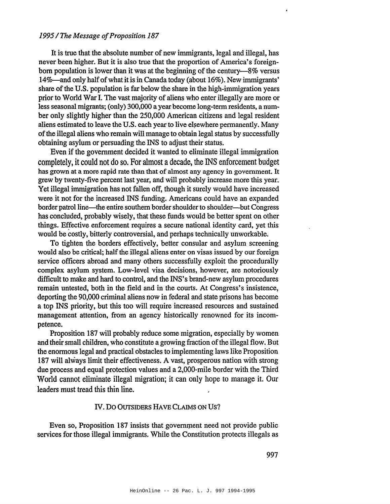#### *1995/The Message ofProposition 187*

It is true that the absolute number of new immigrants, legal and illegal, has never been higher. But it is also true that the proportion of America's foreignborn population is lower than it was at the beginning of the century-8% versus 14%—and only half of what it is in Canada today (about 16%). New immigrants' share ofthe U.S. population is far below the share in the high-immigration years prior to World War I. The vast majority of aliens who enter illegally are more or less seasonal migrants; (only) 300,000 a year become long-tenn residents, a number only slightly higher than the 250,000 American citizens and legal resident aliens estimated to leave the U.S. each year to live elsewhere permanently. Many ofthe illegal aliens who remain will manage to obtain legal status by successfully obtaining asylum or persuading the INS to adjust their status.

Even if the government decided it wanted to eliminate illegal immigration completely, it could not do so. For almost a decade, the INS enforcement budget has grown at a more rapid rate than that of almost any agency in government. It grew by twenty-five percent last year, and will probably increase more this year. Yet illegal immigration has not fallen off, though it surely would have increased were it not for the increased INS funding. Americans could have an expanded border patrol line—the entire southern border shoulder to shoulder—but Congress has concluded, probably wisely, that these funds would be better spent on other things. Effective enforcement requires a secure national identity card, yet this would be costly, bitterly controversial, and perhaps technically unworkable.

To tighten the borders effectively, better consular and asylum screening would also be critical; half the illegal aliens enter on visas issued by our foreign service officers abroad and many others successfully exploit the procedurally complex asylum system. Low-level visa decisions, however, are notoriously difficult to make and hard to control, and the INS's brand-new asylum procedures remain untested, both in the field and in the courts. At Congress's insistence, deporting the 90,000 criminal aliens now in federal and state prisons has become a top INS priority, but this too will require increased resources and sustained management attention, from an agency historically renowned for its incompetence.

Proposition 187 will probably reduce some migration, especially by women and their small children, who constitute a growing fraction of the illegal flow. But the enonnous legal and practical obstacles to implementing laws like Proposition 187 will always limit their effectiveness. A vast, prosperous nation with strong due process and equal protection values and a 2,000-mile border with the Third World cannot eliminate illegal migration; it can only hope to manage it. Our leaders must tread this thin line.

#### IV. Do OUTSIDERS HAVE CLAIMS ON US?

Even so, Proposition 187 insists that government need not provide public services for those illegal immigrants. While the Constitution protects illegals as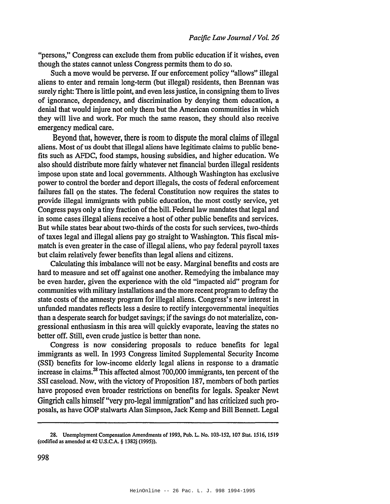"persons," Congress can exclude them from public education if it wishes, even though the states cannot unless Congress pennits them to do so.

Such a move would be perverse. If our enforcement policy "allows" illegal aliens to enter and remain long-term (but illegal) residents, then Brennan was surely right: There is little point, and even less justice, in consigning them to lives of ignorance, dependency, and discrimination by denying them education, a denial that would injure not only them but the American communities in which they will live and work. For much the same reason, they should also receive emergency medical care.

Beyond that, however, there is room to dispute the moral claims of illegal aliens. Most of us doubt that illegal aliens have legitimate claims to public benefits such as AFDC, food stamps, housing subsidies, and higher education. We also should distribute more fairly whatever net financial burden illegal residents impose upon state and local governments. Although Washington has exclusive power to control the border and deport illegals, the costs of federal enforcement failures fall on the states. The federal Constitution now requires the states to provide illegal immigrants with public education, the most costly service, yet Congress pays only a tiny fraction of the bill. Federal law mandates that legal and in some cases illegal aliens receive a host of other public benefits and services. But while states bear about two-thirds of the costs for such services, two-thirds of taxes legal and illegal aliens pay go straight to Washington. This fiscal mismatch is even greater in the case of illegal aliens, who pay federal payroll taxes but claim relatively fewer benefits than legal aliens and citizens.

Calculating this imbalance will not be easy. Marginal benefits and costs are hard to measure and set off against one another. Remedying the imbalance may be even harder, given the experience with the old "impacted aid" program for communities with military installations and the more recent program to defray the state costs of the amnesty program for illegal aliens. Congress's new interest in unfunded mandates reflects less a desire to rectify intergovernmental inequities than a desperate search for budget savings; if the savings do not materialize, congressional enthusiasm in this area will quickly evaporate, leaving the states no better off. Still, even crude justice is better than none.

Congress is now considering proposals to reduce benefits for legal immigrants as well. In 1993 Congress limited Supplemental Security Income (SS!) benefits for low-income elderly legal aliens in response to a dramatic increase in claims.<sup>28</sup> This affected almost  $700,000$  immigrants, ten percent of the SSI caseload. Now, with the victory of Proposition 187, members of both parties have proposed even broader restrictions on benefits for legals. Speaker Newt Gingrich calls himself "very pro-legal immigration" and has criticized such proposals, as have GOP stalwarts Alan Simpson, Jack Kemp and Bill Bennett. Legal

<sup>28.</sup> Unemployment Compensation Amendments of 1993. Pub. L. No. 103-152. 107 SIal. 1516. 1519 (codified as amended at 42 U.S.C.A. § 1382j (1995».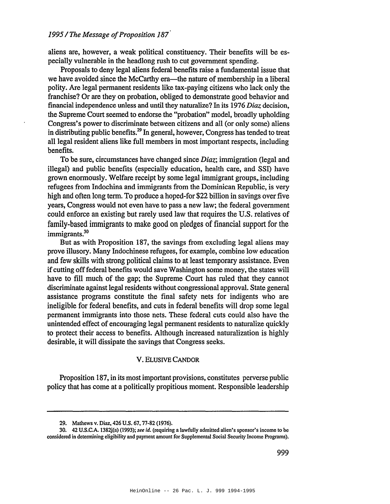aliens are, however, a weak political constituency. Their benefits will be especially vulnerable in the headlong rush to cut government spending.

Proposals to deny legal aliens federal benefits raise a fundamental issue that we have avoided since the McCarthy era—the nature of membership in a liberal polity. Are legal permanent residents like tax-paying citizens who lack only the franchise? Or are they on probation, obliged to demonstrate good behavior and financial independence unless and until they naturalize? In its 1976 *Diaz* decision, the Supreme Court seemed to endorse the "probation" model, broadly upholding Congress's power to discriminate between citizens and all (or only some) aliens in distributing public benefits.<sup>29</sup> In general, however, Congress has tended to treat all legal resident aliens like full members in most important respects, including benefits.

To be sure, circumstances have changed since *Diaz;* immigration (legal and illegal) and public benefits (especially education, health care, and SSI) have grown enormously. Welfare receipt by some legal immigrant groups, including refugees from Indochina and immigrants from the Dominican Republic, is very high and often long term. To produce a hoped-for \$22 billion in savings over five years, Congress would not even have to pass a new law; the federal government could enforce an existing but rarely used law that requires the U.S. relatives of family-based immigrants to make good on pledges of financial support for the immigrants.<sup>30</sup>

But as with Proposition 187, the savings from excluding legal aliens may prove illusory. Many Indochinese refugees, for example, combine low education and few skills with strong political claims to at least temporary assistance. Even if cutting off federal benefits would save Washington some money, the states will have to fill much of the gap; the Supreme Court has ruled that they cannot discriminate against legal residents without congressional approval. State general assistance programs constitute the final safety nets for indigents who are ineligible for federal benefits, and cuts in federal benefits will drop some legal permanent immigrants into those nets. These federal cuts could also have the unintended effect of encouraging legal permanent residents to naturalize quickly to protect their access to benefits. Although increased naturalization is highly desirable, it will dissipate the savings that Congress seeks.

#### V. ELUSIVE CANDOR

Proposition 187, in its most important provisions, constitutes perverse public policy that has come at a politically propitious moment. Responsible leadership

<sup>29.</sup> Mathews v. Diaz, 426 U.S. 67, 77-82 (1976).

<sup>30.</sup> 42 U.S.C.A. 1382j(a) (1993);*see* id. (requiring a lawfully admitted alien's sponsor's income to be considered in determining eligibility and payment amount for Supplemental Social Security Income Programs).